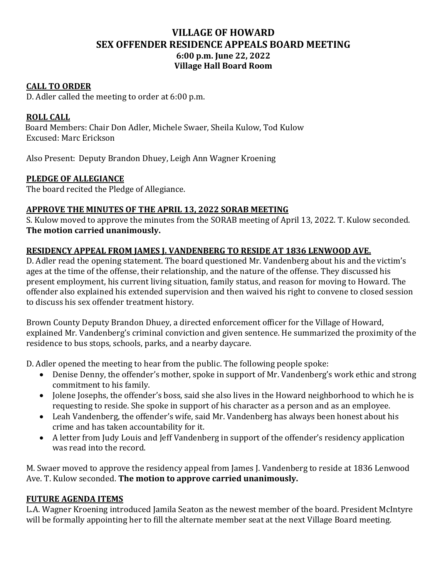## **VILLAGE OF HOWARD SEX OFFENDER RESIDENCE APPEALS BOARD MEETING 6:00 p.m. June 22, 2022 Village Hall Board Room**

#### **CALL TO ORDER**

D. Adler called the meeting to order at 6:00 p.m.

### **ROLL CALL**

 Board Members: Chair Don Adler, Michele Swaer, Sheila Kulow, Tod Kulow Excused: Marc Erickson

Also Present: Deputy Brandon Dhuey, Leigh Ann Wagner Kroening

#### **PLEDGE OF ALLEGIANCE**

The board recited the Pledge of Allegiance.

#### **APPROVE THE MINUTES OF THE APRIL 13, 2022 SORAB MEETING**

S. Kulow moved to approve the minutes from the SORAB meeting of April 13, 2022. T. Kulow seconded. **The motion carried unanimously.** 

#### **RESIDENCY APPEAL FROM JAMES J. VANDENBERG TO RESIDE AT 1836 LENWOOD AVE.**

D. Adler read the opening statement. The board questioned Mr. Vandenberg about his and the victim's ages at the time of the offense, their relationship, and the nature of the offense. They discussed his present employment, his current living situation, family status, and reason for moving to Howard. The offender also explained his extended supervision and then waived his right to convene to closed session to discuss his sex offender treatment history.

Brown County Deputy Brandon Dhuey, a directed enforcement officer for the Village of Howard, explained Mr. Vandenberg's criminal conviction and given sentence. He summarized the proximity of the residence to bus stops, schools, parks, and a nearby daycare.

D. Adler opened the meeting to hear from the public. The following people spoke:

- Denise Denny, the offender's mother, spoke in support of Mr. Vandenberg's work ethic and strong commitment to his family.
- Jolene Josephs, the offender's boss, said she also lives in the Howard neighborhood to which he is requesting to reside. She spoke in support of his character as a person and as an employee.
- Leah Vandenberg, the offender's wife, said Mr. Vandenberg has always been honest about his crime and has taken accountability for it.
- A letter from Judy Louis and Jeff Vandenberg in support of the offender's residency application was read into the record.

M. Swaer moved to approve the residency appeal from James J. Vandenberg to reside at 1836 Lenwood Ave. T. Kulow seconded. **The motion to approve carried unanimously.**

#### **FUTURE AGENDA ITEMS**

L.A. Wagner Kroening introduced Jamila Seaton as the newest member of the board. President McIntyre will be formally appointing her to fill the alternate member seat at the next Village Board meeting.